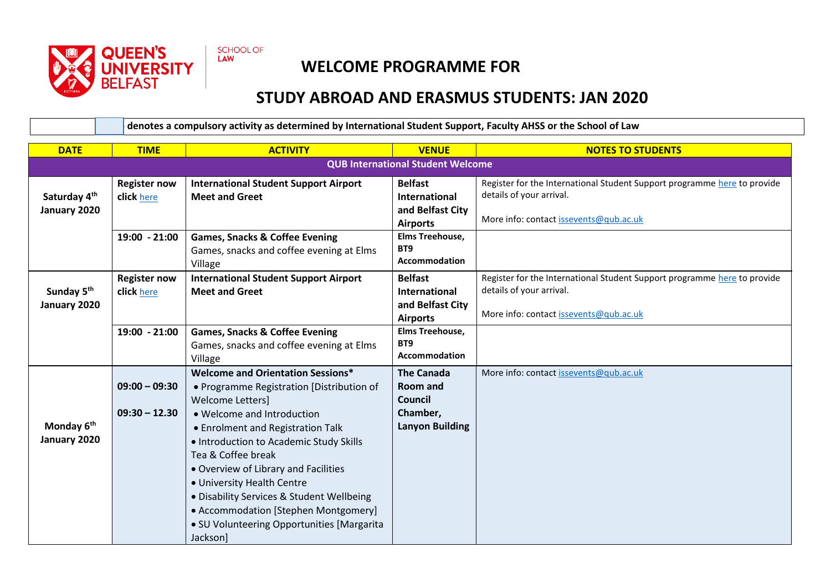

SCHOOL OF LAW

## **WELCOME PROGRAMME FOR**

## **STUDY ABROAD AND ERASMUS STUDENTS: JAN 2020**

**\* - denotes a compulsory activity as determined by International Student Support, Faculty AHSS or the School of Law**

| <b>DATE</b>                            | <b>TIME</b>                              | <b>ACTIVITY</b>                                                                                                                                                                                                                                                                                                                                                                                                 | <b>VENUE</b>                                                                          | <b>NOTES TO STUDENTS</b>                                                                                                                       |  |
|----------------------------------------|------------------------------------------|-----------------------------------------------------------------------------------------------------------------------------------------------------------------------------------------------------------------------------------------------------------------------------------------------------------------------------------------------------------------------------------------------------------------|---------------------------------------------------------------------------------------|------------------------------------------------------------------------------------------------------------------------------------------------|--|
|                                        | <b>QUB International Student Welcome</b> |                                                                                                                                                                                                                                                                                                                                                                                                                 |                                                                                       |                                                                                                                                                |  |
| Saturday 4th<br>January 2020           | <b>Register now</b><br>click here        | <b>International Student Support Airport</b><br><b>Meet and Greet</b>                                                                                                                                                                                                                                                                                                                                           | <b>Belfast</b><br>International<br>and Belfast City<br><b>Airports</b>                | Register for the International Student Support programme here to provide<br>details of your arrival.<br>More info: contact issevents@qub.ac.uk |  |
|                                        | $19:00 - 21:00$                          | <b>Games, Snacks &amp; Coffee Evening</b><br>Games, snacks and coffee evening at Elms<br>Village                                                                                                                                                                                                                                                                                                                | Elms Treehouse,<br>BT9<br><b>Accommodation</b>                                        |                                                                                                                                                |  |
| Sunday 5 <sup>th</sup><br>January 2020 | <b>Register now</b><br>click here        | <b>International Student Support Airport</b><br><b>Meet and Greet</b>                                                                                                                                                                                                                                                                                                                                           | <b>Belfast</b><br><b>International</b><br>and Belfast City<br><b>Airports</b>         | Register for the International Student Support programme here to provide<br>details of your arrival.<br>More info: contact issevents@qub.ac.uk |  |
|                                        | 19:00 - 21:00                            | <b>Games, Snacks &amp; Coffee Evening</b><br>Games, snacks and coffee evening at Elms<br>Village                                                                                                                                                                                                                                                                                                                | Elms Treehouse,<br>BT <sub>9</sub><br>Accommodation                                   |                                                                                                                                                |  |
| Monday 6 <sup>th</sup><br>January 2020 | $09:00 - 09:30$<br>$09:30 - 12.30$       | <b>Welcome and Orientation Sessions*</b><br>• Programme Registration [Distribution of<br><b>Welcome Letters]</b><br>• Welcome and Introduction<br>• Enrolment and Registration Talk<br>. Introduction to Academic Study Skills<br>Tea & Coffee break<br>. Overview of Library and Facilities<br>• University Health Centre<br>• Disability Services & Student Wellbeing<br>• Accommodation [Stephen Montgomery] | <b>The Canada</b><br><b>Room and</b><br>Council<br>Chamber,<br><b>Lanyon Building</b> | More info: contact issevents@qub.ac.uk                                                                                                         |  |
|                                        |                                          | · SU Volunteering Opportunities [Margarita<br>Jackson]                                                                                                                                                                                                                                                                                                                                                          |                                                                                       |                                                                                                                                                |  |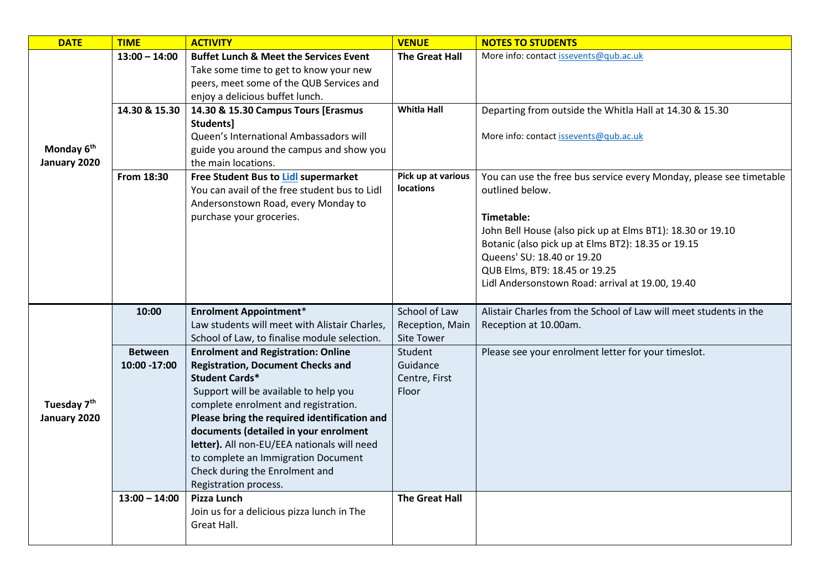| <b>DATE</b>                             | <b>TIME</b>                                       | <b>ACTIVITY</b>                                                                                                                                                                                                                                                                                                                                                                                                                                                                                                                                                       | <b>VENUE</b>                                                                         | <b>NOTES TO STUDENTS</b>                                                                                                                                                                                                                                                                                                                    |
|-----------------------------------------|---------------------------------------------------|-----------------------------------------------------------------------------------------------------------------------------------------------------------------------------------------------------------------------------------------------------------------------------------------------------------------------------------------------------------------------------------------------------------------------------------------------------------------------------------------------------------------------------------------------------------------------|--------------------------------------------------------------------------------------|---------------------------------------------------------------------------------------------------------------------------------------------------------------------------------------------------------------------------------------------------------------------------------------------------------------------------------------------|
| Monday 6 <sup>th</sup><br>January 2020  | $13:00 - 14:00$                                   | <b>Buffet Lunch &amp; Meet the Services Event</b><br>Take some time to get to know your new<br>peers, meet some of the QUB Services and<br>enjoy a delicious buffet lunch.                                                                                                                                                                                                                                                                                                                                                                                            | <b>The Great Hall</b>                                                                | More info: contact issevents@qub.ac.uk                                                                                                                                                                                                                                                                                                      |
|                                         | 14.30 & 15.30                                     | 14.30 & 15.30 Campus Tours [Erasmus<br>Students]<br>Queen's International Ambassadors will<br>guide you around the campus and show you<br>the main locations.                                                                                                                                                                                                                                                                                                                                                                                                         | <b>Whitla Hall</b>                                                                   | Departing from outside the Whitla Hall at 14.30 & 15.30<br>More info: contact issevents@qub.ac.uk                                                                                                                                                                                                                                           |
|                                         | From 18:30                                        | Free Student Bus to Lidl supermarket<br>You can avail of the free student bus to Lidl<br>Andersonstown Road, every Monday to<br>purchase your groceries.                                                                                                                                                                                                                                                                                                                                                                                                              | Pick up at various<br><b>locations</b>                                               | You can use the free bus service every Monday, please see timetable<br>outlined below.<br>Timetable:<br>John Bell House (also pick up at Elms BT1): 18.30 or 19.10<br>Botanic (also pick up at Elms BT2): 18.35 or 19.15<br>Queens' SU: 18.40 or 19.20<br>QUB Elms, BT9: 18.45 or 19.25<br>Lidl Andersonstown Road: arrival at 19.00, 19.40 |
|                                         | 10:00                                             | <b>Enrolment Appointment*</b><br>Law students will meet with Alistair Charles,                                                                                                                                                                                                                                                                                                                                                                                                                                                                                        | School of Law<br>Reception, Main                                                     | Alistair Charles from the School of Law will meet students in the<br>Reception at 10.00am.                                                                                                                                                                                                                                                  |
| Tuesday 7 <sup>th</sup><br>January 2020 | <b>Between</b><br>10:00 -17:00<br>$13:00 - 14:00$ | School of Law, to finalise module selection.<br><b>Enrolment and Registration: Online</b><br><b>Registration, Document Checks and</b><br><b>Student Cards*</b><br>Support will be available to help you<br>complete enrolment and registration.<br>Please bring the required identification and<br>documents (detailed in your enrolment<br>letter). All non-EU/EEA nationals will need<br>to complete an Immigration Document<br>Check during the Enrolment and<br>Registration process.<br>Pizza Lunch<br>Join us for a delicious pizza lunch in The<br>Great Hall. | Site Tower<br>Student<br>Guidance<br>Centre, First<br>Floor<br><b>The Great Hall</b> | Please see your enrolment letter for your timeslot.                                                                                                                                                                                                                                                                                         |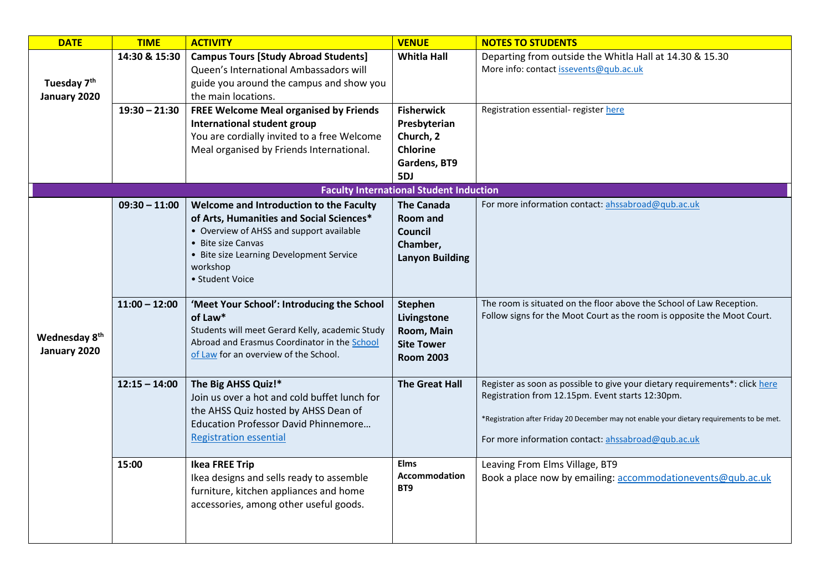| <b>DATE</b>                               | <b>TIME</b>     | <b>ACTIVITY</b>                                                                                                                                                                                                                  | <b>VENUE</b>                                                                             | <b>NOTES TO STUDENTS</b>                                                                                                                                                                                                                                                            |
|-------------------------------------------|-----------------|----------------------------------------------------------------------------------------------------------------------------------------------------------------------------------------------------------------------------------|------------------------------------------------------------------------------------------|-------------------------------------------------------------------------------------------------------------------------------------------------------------------------------------------------------------------------------------------------------------------------------------|
| Tuesday 7 <sup>th</sup><br>January 2020   | 14:30 & 15:30   | <b>Campus Tours [Study Abroad Students]</b><br>Queen's International Ambassadors will<br>guide you around the campus and show you<br>the main locations.                                                                         | <b>Whitla Hall</b>                                                                       | Departing from outside the Whitla Hall at 14.30 & 15.30<br>More info: contact issevents@qub.ac.uk                                                                                                                                                                                   |
|                                           | $19:30 - 21:30$ | <b>FREE Welcome Meal organised by Friends</b><br>International student group<br>You are cordially invited to a free Welcome<br>Meal organised by Friends International.                                                          | <b>Fisherwick</b><br>Presbyterian<br>Church, 2<br><b>Chlorine</b><br>Gardens, BT9<br>5DJ | Registration essential- register here                                                                                                                                                                                                                                               |
|                                           |                 |                                                                                                                                                                                                                                  | <b>Faculty International Student Induction</b>                                           |                                                                                                                                                                                                                                                                                     |
|                                           | $09:30 - 11:00$ | Welcome and Introduction to the Faculty<br>of Arts, Humanities and Social Sciences*<br>• Overview of AHSS and support available<br>• Bite size Canvas<br>• Bite size Learning Development Service<br>workshop<br>• Student Voice | <b>The Canada</b><br><b>Room and</b><br>Council<br>Chamber,<br><b>Lanyon Building</b>    | For more information contact: ahssabroad@qub.ac.uk                                                                                                                                                                                                                                  |
| Wednesday 8 <sup>th</sup><br>January 2020 | $11:00 - 12:00$ | 'Meet Your School': Introducing the School<br>of Law*<br>Students will meet Gerard Kelly, academic Study<br>Abroad and Erasmus Coordinator in the School<br>of Law for an overview of the School.                                | <b>Stephen</b><br>Livingstone<br>Room, Main<br><b>Site Tower</b><br><b>Room 2003</b>     | The room is situated on the floor above the School of Law Reception.<br>Follow signs for the Moot Court as the room is opposite the Moot Court.                                                                                                                                     |
|                                           | $12:15 - 14:00$ | The Big AHSS Quiz!*<br>Join us over a hot and cold buffet lunch for<br>the AHSS Quiz hosted by AHSS Dean of<br><b>Education Professor David Phinnemore</b><br><b>Registration essential</b>                                      | <b>The Great Hall</b>                                                                    | Register as soon as possible to give your dietary requirements*: click here<br>Registration from 12.15pm. Event starts 12:30pm.<br>*Registration after Friday 20 December may not enable your dietary requirements to be met.<br>For more information contact: ahssabroad@qub.ac.uk |
|                                           | 15:00           | <b>Ikea FREE Trip</b><br>Ikea designs and sells ready to assemble<br>furniture, kitchen appliances and home<br>accessories, among other useful goods.                                                                            | <b>Elms</b><br><b>Accommodation</b><br>BT <sub>9</sub>                                   | Leaving From Elms Village, BT9<br>Book a place now by emailing: accommodationevents@qub.ac.uk                                                                                                                                                                                       |